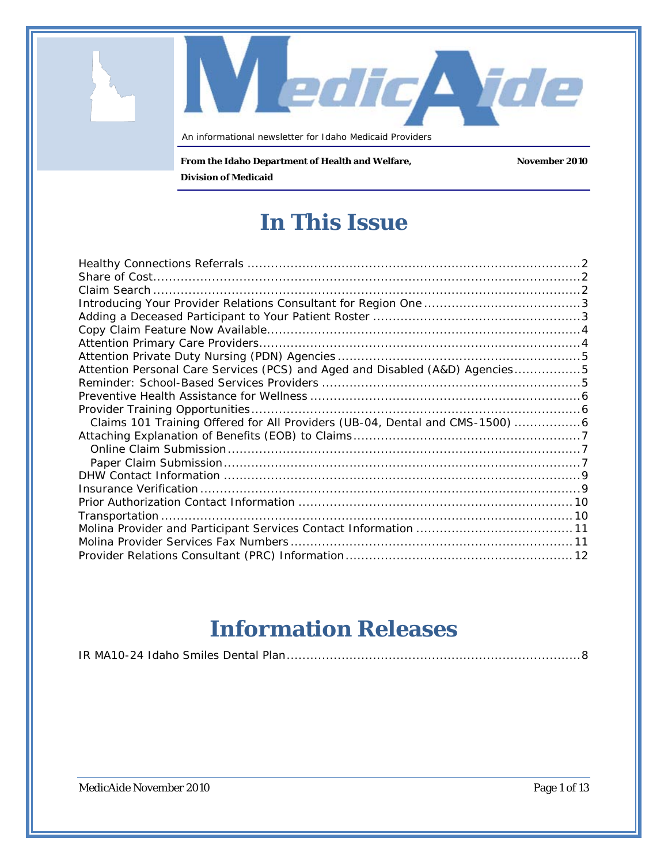An informational newsletter for Idaho Medicaid Providers

**From the Idaho Department of Health and Welfare, November 2010 Division of Medicaid**

**In This Issue**

edic Nde

| Attention Personal Care Services (PCS) and Aged and Disabled (A&D) Agencies5 |  |
|------------------------------------------------------------------------------|--|
|                                                                              |  |
|                                                                              |  |
|                                                                              |  |
| Claims 101 Training Offered for All Providers (UB-04, Dental and CMS-1500) 6 |  |
|                                                                              |  |
|                                                                              |  |
|                                                                              |  |
|                                                                              |  |
|                                                                              |  |
|                                                                              |  |
|                                                                              |  |
|                                                                              |  |
|                                                                              |  |
|                                                                              |  |

# **Information Releases**

|--|--|

MedicAide November 2010 **Page 1 of 13**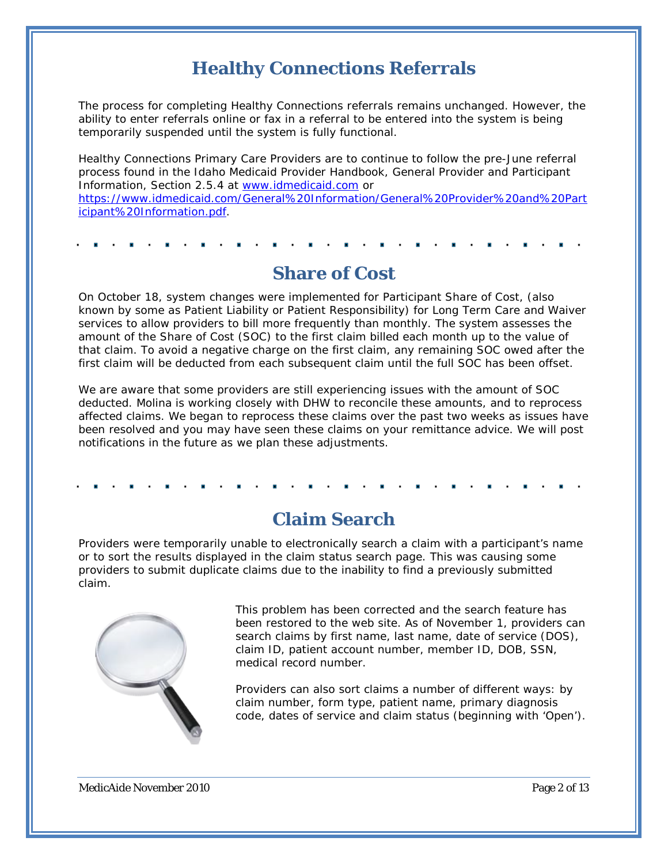### **Healthy Connections Referrals**

<span id="page-1-0"></span>The process for completing Healthy Connections referrals remains unchanged. However, the ability to enter referrals online or fax in a referral to be entered into the system is being temporarily suspended until the system is fully functional.

Healthy Connections Primary Care Providers are to continue to follow the pre-June referral process found in the Idaho Medicaid Provider Handbook, *General Provider and Participant Information*, Section 2.5.4 at [www.idmedicaid.com](http://www.idmedicaid.com/) or [https://www.idmedicaid.com/General%20Information/General%20Provider%20and%20Part](https://www.idmedicaid.com/General%20Information/General%20Provider%20and%20Participant%20Information.pdf) [icipant%20Information.pdf.](https://www.idmedicaid.com/General%20Information/General%20Provider%20and%20Participant%20Information.pdf)

<span id="page-1-1"></span>

### **Share of Cost**

On October 18, system changes were implemented for Participant Share of Cost, (also known by some as Patient Liability or Patient Responsibility) for Long Term Care and Waiver services to allow providers to bill more frequently than monthly. The system assesses the amount of the Share of Cost (SOC) to the first claim billed each month up to the value of that claim. To avoid a negative charge on the first claim, any remaining SOC owed after the first claim will be deducted from each subsequent claim until the full SOC has been offset.

We are aware that some providers are still experiencing issues with the amount of SOC deducted. Molina is working closely with DHW to reconcile these amounts, and to reprocess affected claims. We began to reprocess these claims over the past two weeks as issues have been resolved and you may have seen these claims on your remittance advice. We will post notifications in the future as we plan these adjustments.

### **Claim Search**

<span id="page-1-2"></span>Providers were temporarily unable to electronically search a claim with a participant's name or to sort the results displayed in the claim status search page. This was causing some providers to submit duplicate claims due to the inability to find a previously submitted claim.



This problem has been corrected and the search feature has been restored to the web site. As of November 1, providers can search claims by first name, last name, date of service (DOS), claim ID, patient account number, member ID, DOB, SSN, medical record number.

Providers can also sort claims a number of different ways: by claim number, form type, patient name, primary diagnosis code, dates of service and claim status (beginning with 'Open').

MedicAide November 2010 **Page 2 of 13** Page 2 of 13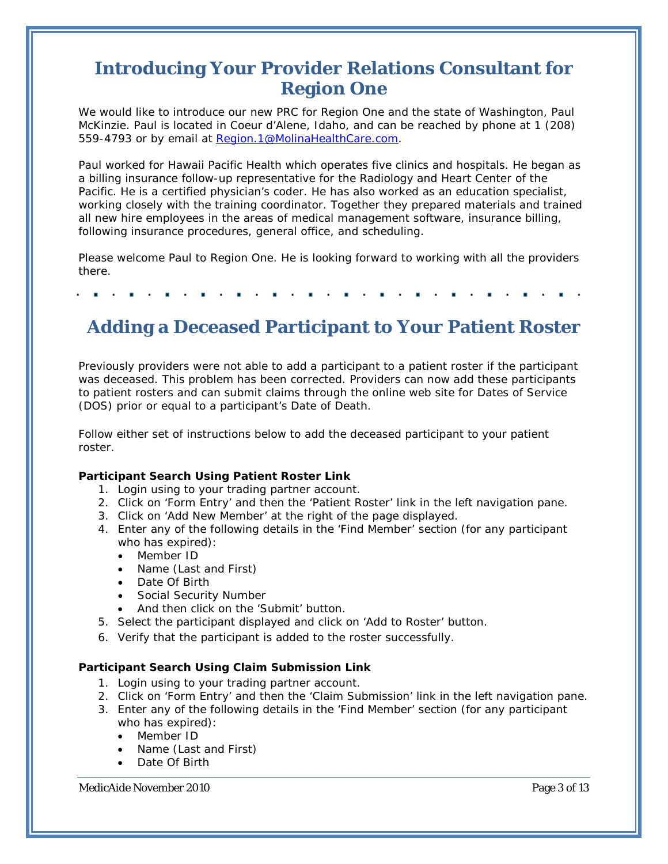### <span id="page-2-0"></span>**Introducing Your Provider Relations Consultant for Region One**

We would like to introduce our new PRC for Region One and the state of Washington, Paul McKinzie. Paul is located in Coeur d'Alene, Idaho, and can be reached by phone at 1 (208) 559-4793 or by email at [Region.1@MolinaHealthCare.com.](mailto:Region.1@MolinaHealthCare.com)

Paul worked for Hawaii Pacific Health which operates five clinics and hospitals. He began as a billing insurance follow-up representative for the Radiology and Heart Center of the Pacific. He is a certified physician's coder. He has also worked as an education specialist, working closely with the training coordinator. Together they prepared materials and trained all new hire employees in the areas of medical management software, insurance billing, following insurance procedures, general office, and scheduling.

Please welcome Paul to Region One. He is looking forward to working with all the providers there.

### <span id="page-2-1"></span>**Adding a Deceased Participant to Your Patient Roster**

Previously providers were not able to add a participant to a patient roster if the participant was deceased. This problem has been corrected. Providers can now add these participants to patient rosters and can submit claims through the online web site for Dates of Service (DOS) prior or equal to a participant's Date of Death.

Follow either set of instructions below to add the deceased participant to your patient roster.

#### **Participant Search Using Patient Roster Link**

- 1. Login using to your trading partner account.
- 2. Click on 'Form Entry' and then the 'Patient Roster' link in the left navigation pane.
- 3. Click on 'Add New Member' at the right of the page displayed.
- 4. Enter any of the following details in the 'Find Member' section (for any participant who has expired):
	- Member ID
	- Name (Last and First)
	- Date Of Birth
	- Social Security Number
	- And then click on the 'Submit' button.
- 5. Select the participant displayed and click on 'Add to Roster' button.
- 6. Verify that the participant is added to the roster successfully.

#### **Participant Search Using Claim Submission Link**

- 1. Login using to your trading partner account.
- 2. Click on 'Form Entry' and then the 'Claim Submission' link in the left navigation pane.
- 3. Enter any of the following details in the 'Find Member' section (for any participant who has expired):
	- Member ID
	- Name (Last and First)
	- Date Of Birth

MedicAide November 2010 **Page 3 of 13** Page 3 of 13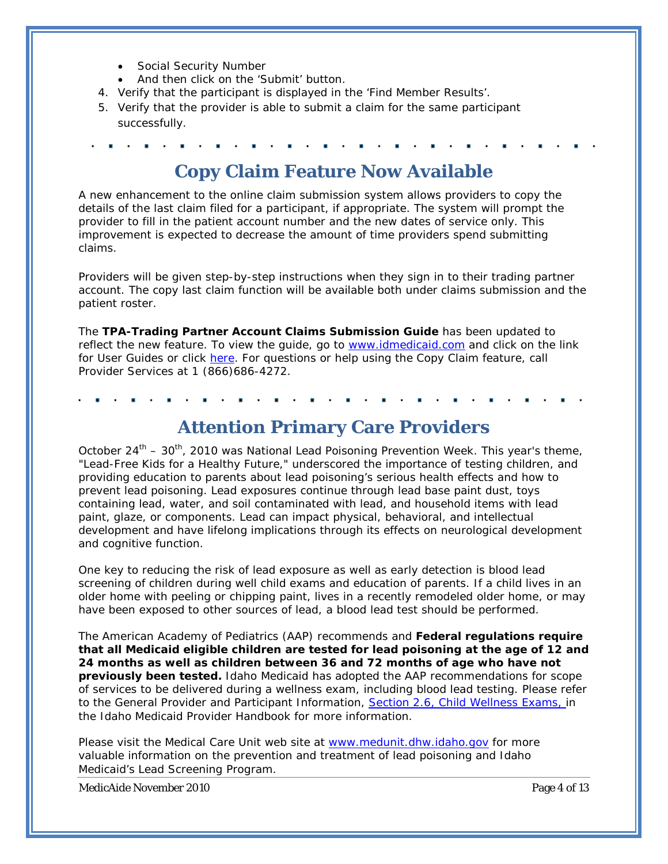- Social Security Number
- And then click on the 'Submit' button.
- 4. Verify that the participant is displayed in the 'Find Member Results'.
- 5. Verify that the provider is able to submit a claim for the same participant successfully.

<span id="page-3-0"></span>

### **Copy Claim Feature Now Available**

A new enhancement to the online claim submission system allows providers to copy the details of the last claim filed for a participant, if appropriate. The system will prompt the provider to fill in the patient account number and the new dates of service only. This improvement is expected to decrease the amount of time providers spend submitting claims.

Providers will be given step-by-step instructions when they sign in to their trading partner account. The c*opy last claim* function will be available both under claims submission and the patient roster.

The **TPA-Trading Partner Account Claims Submission Guide** has been updated to reflect the new feature. To view the guide, go to [www.idmedicaid.com](http://www.idmedicaid.com/) and click on the link for User Guides or click [here.](https://www.idmedicaid.com/User%20Guides/Forms/AllItems.aspx) For questions or help using the Copy Claim feature, call Provider Services at 1 (866)686-4272.

<span id="page-3-1"></span>

### **Attention Primary Care Providers**

October  $24^{th}$  –  $30^{th}$ , 2010 was National Lead Poisoning Prevention Week. This year's theme, "Lead-Free Kids for a Healthy Future," underscored the importance of testing children, and providing education to parents about lead poisoning's serious health effects and how to prevent lead poisoning. Lead exposures continue through lead base paint dust, toys containing lead, water, and soil contaminated with lead, and household items with lead paint, glaze, or components. Lead can impact physical, behavioral, and intellectual development and have lifelong implications through its effects on neurological development and cognitive function.

One key to reducing the risk of lead exposure as well as early detection is blood lead screening of children during well child exams and education of parents. If a child lives in an older home with peeling or chipping paint, lives in a recently remodeled older home, or may have been exposed to other sources of lead, a blood lead test should be performed.

The American Academy of Pediatrics (AAP) recommends and **Federal regulations require that all Medicaid eligible children are tested for lead poisoning at the age of 12 and 24 months as well as children between 36 and 72 months of age who have not previously been tested.** Idaho Medicaid has adopted the AAP recommendations for scope of services to be delivered during a wellness exam, including blood lead testing. Please refer to the *General Provider and Participant Information*, *[Section 2.6, Child Wellness Exams](https://www.idmedicaid.com/General%20Information/General%20Provider%20and%20Participant%20Information.pdf)*, in the Idaho Medicaid Provider Handbook for more information.

Please visit the Medical Care Unit web site at [www.medunit.dhw.idaho.gov](http://www.medunit.dhw.idaho.gov/) for more valuable information on the prevention and treatment of lead poisoning and Idaho Medicaid's Lead Screening Program.

MedicAide November 2010 **Page 4 of 13**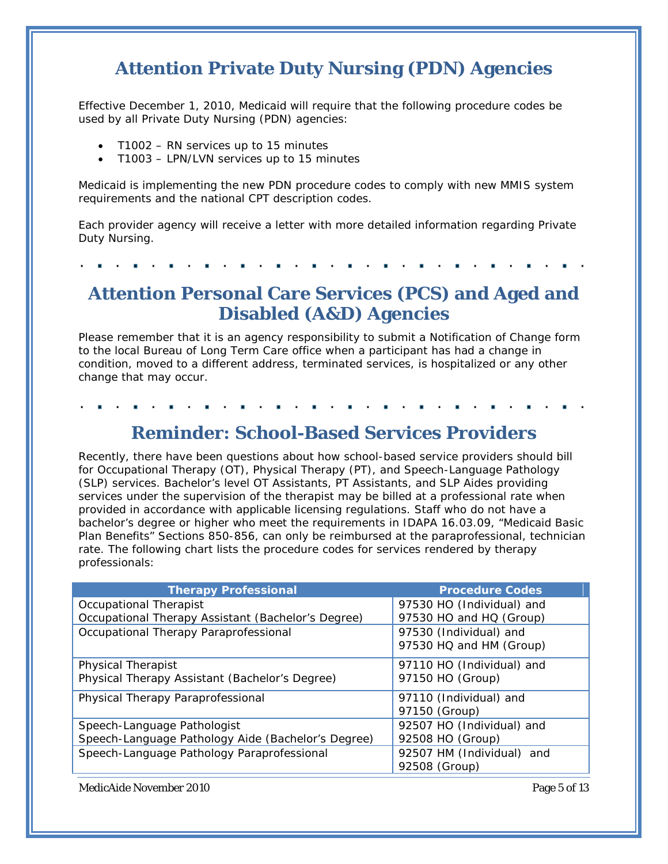### <span id="page-4-0"></span>**Attention Private Duty Nursing (PDN) Agencies**

Effective December 1, 2010, Medicaid will require that the following procedure codes be used by all Private Duty Nursing (PDN) agencies:

- T1002 RN services up to 15 minutes
- T1003 LPN/LVN services up to 15 minutes

Medicaid is implementing the new PDN procedure codes to comply with new MMIS system requirements and the national CPT description codes.

Each provider agency will receive a letter with more detailed information regarding Private Duty Nursing.

### <span id="page-4-1"></span>**Attention Personal Care Services (PCS) and Aged and Disabled (A&D) Agencies**

Please remember that it is an agency responsibility to submit a Notification of Change form to the local Bureau of Long Term Care office when a participant has had a change in condition, moved to a different address, terminated services, is hospitalized or any other change that may occur.

<span id="page-4-2"></span>

### **Reminder: School-Based Services Providers**

Recently, there have been questions about how school-based service providers should bill for Occupational Therapy (OT), Physical Therapy (PT), and Speech-Language Pathology (SLP) services. Bachelor's level OT Assistants, PT Assistants, and SLP Aides providing services under the supervision of the therapist may be billed at a professional rate when provided in accordance with applicable licensing regulations. Staff who do not have a bachelor's degree or higher who meet the requirements in IDAPA 16.03.09, "Medicaid Basic Plan Benefits" Sections 850-856, can only be reimbursed at the paraprofessional, technician rate. The following chart lists the procedure codes for services rendered by therapy professionals:

| <b>Therapy Professional</b>                        | <b>Procedure Codes</b>    |
|----------------------------------------------------|---------------------------|
| Occupational Therapist                             | 97530 HO (Individual) and |
| Occupational Therapy Assistant (Bachelor's Degree) | 97530 HO and HQ (Group)   |
| Occupational Therapy Paraprofessional              | 97530 (Individual) and    |
|                                                    | 97530 HQ and HM (Group)   |
| <b>Physical Therapist</b>                          | 97110 HO (Individual) and |
| Physical Therapy Assistant (Bachelor's Degree)     | 97150 HO (Group)          |
| Physical Therapy Paraprofessional                  | 97110 (Individual) and    |
|                                                    | 97150 (Group)             |
| Speech-Language Pathologist                        | 92507 HO (Individual) and |
| Speech-Language Pathology Aide (Bachelor's Degree) | 92508 HO (Group)          |
| Speech-Language Pathology Paraprofessional         | 92507 HM (Individual) and |
|                                                    | 92508 (Group)             |

MedicAide November 2010 **Page 5 of 13** Page 5 of 13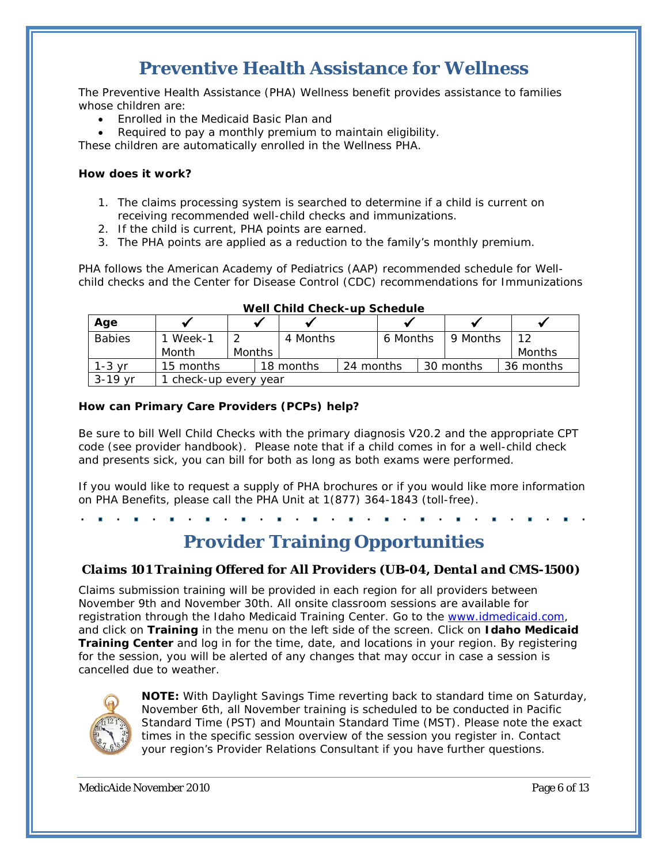### **Preventive Health Assistance for Wellness**

<span id="page-5-0"></span>The Preventive Health Assistance (PHA) Wellness benefit provides assistance to families whose children are:

- Enrolled in the Medicaid Basic Plan and
- Required to pay a monthly premium to maintain eligibility.

These children are automatically enrolled in the Wellness PHA.

#### **How does it work?**

- 1. The claims processing system is searched to determine if a child is current on receiving recommended well-child checks and immunizations.
- 2. If the child is current, PHA points are earned.
- 3. The PHA points are applied as a reduction to the family's monthly premium.

PHA follows the American Academy of Pediatrics (AAP) recommended schedule for Wellchild checks and the Center for Disease Control (CDC) recommendations for Immunizations

| Age           |                       |        |  |           |           |          |  |           |           |
|---------------|-----------------------|--------|--|-----------|-----------|----------|--|-----------|-----------|
| <b>Babies</b> | Week-1                |        |  | 4 Months  |           | 6 Months |  | 9 Months  | 1つ        |
|               | Month                 | Months |  |           |           |          |  |           | Months    |
| $1-3$ vr      | 15 months             |        |  | 18 months | 24 months |          |  | 30 months | 36 months |
| 3-19 vr       | 1 check-up every year |        |  |           |           |          |  |           |           |

|  | Well Child Check-up Schedule |  |
|--|------------------------------|--|
|  |                              |  |

#### **How can Primary Care Providers (PCPs) help?**

Be sure to bill Well Child Checks with the primary diagnosis V20.2 and the appropriate CPT code (see provider handbook). Please note that if a child comes in for a well-child check and presents sick, you can bill for both as long as both exams were performed.

If you would like to request a supply of PHA brochures or if you would like more information on PHA Benefits, please call the PHA Unit at 1(877) 364-1843 (toll-free).

<span id="page-5-1"></span>

### **Provider Training Opportunities**

#### <span id="page-5-2"></span>*Claims 101 Training Offered for All Providers (UB-04, Dental and CMS-1500)*

Claims submission training will be provided in each region for all providers between November 9th and November 30th. All onsite classroom sessions are available for registration through the [Idaho Medicaid Training Center.](https://webmail.molinahealthcare.com/owa/redir.aspx?C=45786b416ddb4608abccdcc6c2764228&URL=https%3a%2f%2fidmolinamedicaidsolutions.elogiclearning.com%2fadmin%2fsecure%2flogin.asp%3fLoginError%3d) Go to the [www.idmedicaid.com,](http://www.idmedicaid.com/) and click on **Training** in the menu on the left side of the screen. Click on **Idaho Medicaid Training Center** and log in for the time, date, and locations in your region. By registering for the session, you will be alerted of any changes that may occur in case a session is cancelled due to weather.



**NOTE:** With Daylight Savings Time reverting back to standard time on Saturday, November 6th, all November training is scheduled to be conducted in Pacific Standard Time (PST) and Mountain Standard Time (MST). Please note the exact times in the specific session overview of the session you register in. Contact your region's Provider Relations Consultant if you have further questions.

MedicAide November 2010 **Page 6 of 13** Page 6 of 13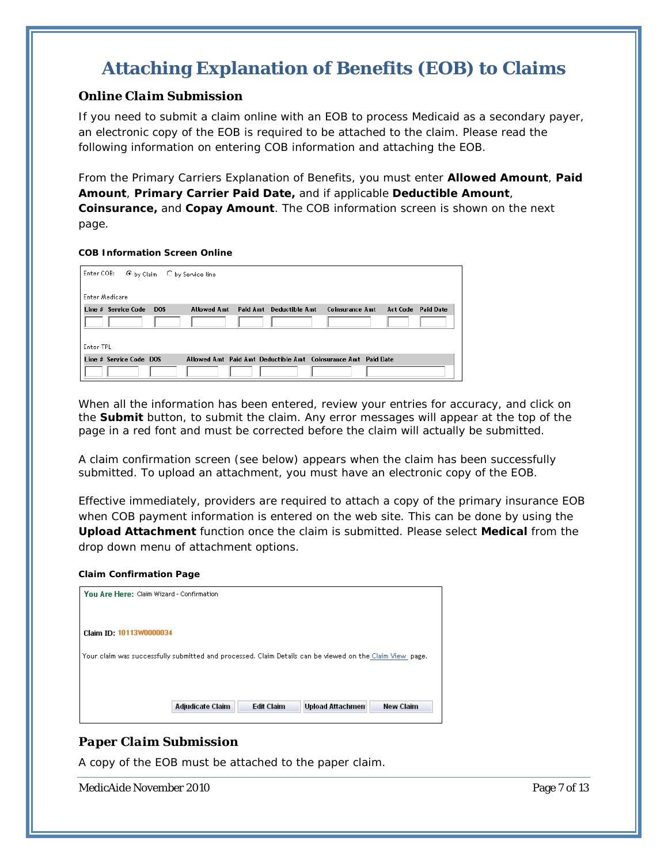## <span id="page-6-0"></span>**Attaching Explanation of Benefits (EOB) to Claims**

#### <span id="page-6-1"></span>*Online Claim Submission*

If you need to submit a claim online with an EOB to process Medicaid as a secondary payer, an electronic copy of the EOB is required to be attached to the claim. Please read the following information on entering COB information and attaching the EOB.

From the Primary Carriers Explanation of Benefits, you must enter **Allowed Amount**, **Paid Amount**, **Primary Carrier Paid Date,** and if applicable **Deductible Amount**, **Coinsurance,** and **Copay Amount**. The COB information screen is shown on the next page.

#### **COB Information Screen Online**

| Enter COB:<br>© by Claim ○ by Service line |                    |                         |                                                               |                 |                  |
|--------------------------------------------|--------------------|-------------------------|---------------------------------------------------------------|-----------------|------------------|
| Enter Medicare                             |                    |                         |                                                               |                 |                  |
| Line # Service Code<br><b>DOS</b>          | <b>Allowed Amt</b> | Paid Amt Deductible Amt | <b>Coinsurance Amt</b>                                        | <b>Act Code</b> | <b>Paid Date</b> |
|                                            |                    |                         |                                                               |                 |                  |
|                                            |                    |                         |                                                               |                 |                  |
| Enter TPL                                  |                    |                         |                                                               |                 |                  |
| Line # Service Code DOS                    |                    |                         | Allowed Amt Paid Amt Deductible Amt Coinsurance Amt Paid Date |                 |                  |
|                                            |                    |                         |                                                               |                 |                  |

When all the information has been entered, review your entries for accuracy, and click on the **Submit** button, to submit the claim. Any error messages will appear at the top of the page in a red font and must be corrected before the claim will actually be submitted.

A claim confirmation screen (see below) appears when the claim has been successfully submitted. To upload an attachment, you must have an electronic copy of the EOB.

Effective immediately, providers are required to attach a copy of the primary insurance EOB when COB payment information is entered on the web site. This can be done by using the **Upload Attachment** function once the claim is submitted. Please select **Medical** from the drop down menu of attachment options.

#### **Claim Confirmation Page**

| You Are Here: Claim Wizard - Confirmation                                                                |                   |                         |                  |
|----------------------------------------------------------------------------------------------------------|-------------------|-------------------------|------------------|
|                                                                                                          |                   |                         |                  |
| Claim ID: 10113W0000034                                                                                  |                   |                         |                  |
| Your claim was successfully submitted and processed. Claim Details can be viewed on the Claim View page. |                   |                         |                  |
|                                                                                                          |                   |                         |                  |
|                                                                                                          |                   |                         |                  |
| <b>Adjudicate Claim</b>                                                                                  | <b>Edit Claim</b> | <b>Upload Attachmen</b> | <b>New Claim</b> |

#### <span id="page-6-2"></span>*Paper Claim Submission*

A copy of the EOB must be attached to the paper claim.

MedicAide November 2010 **Page 7** of 13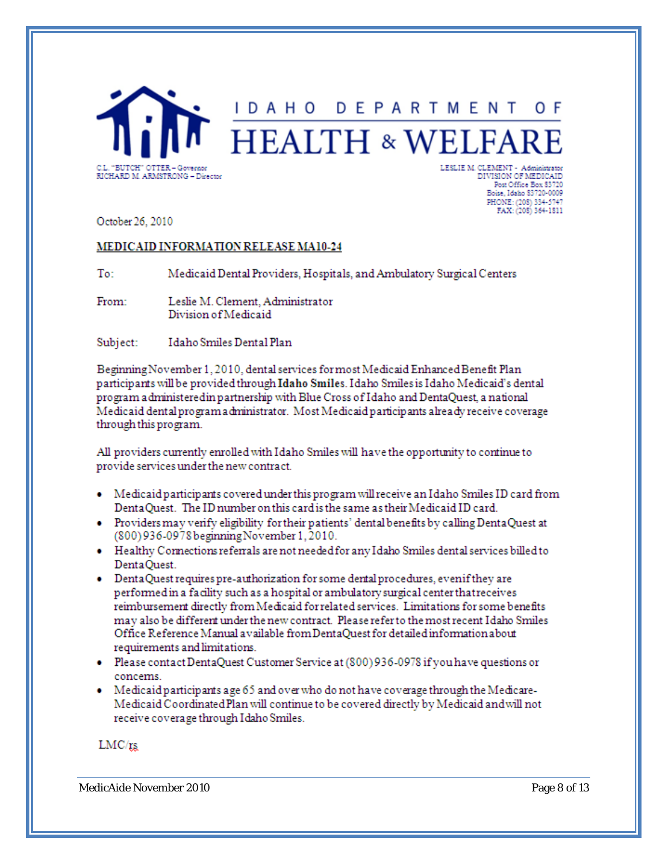<span id="page-7-0"></span>

October 26, 2010

#### MEDICAID INFORMATION RELEASE MA10-24

To: Medicaid Dental Providers, Hospitals, and Ambulatory Surgical Centers

From: Leslie M. Clement, Administrator Division of Medicaid

Idaho Smiles Dental Plan Subject:

Beginning November 1, 2010, dental services for most Medicaid Enhanced Benefit Plan participants will be provided through Idaho Smiles. Idaho Smiles is Idaho Medicaid's dental program a dministered in partnership with Blue Cross of Idaho and DentaQuest, a national Medicaid dental program a dministrator. Most Medicaid participants already receive coverage through this program.

All providers currently enrolled with Idaho Smiles will have the opportunity to continue to provide services under the new contract.

- Medicaid participants covered under this program will receive an Idaho Smiles ID card from DentaQuest. The ID number on this card is the same as their Medicaid ID card.
- Providers may verify eligibility for their patients' dental benefits by calling DentaQuest at (800) 936-0978 beginning November 1, 2010.
- Healthy Connections referrals are not needed for any Idaho Smiles dental services billed to DentaQuest.
- Denta Quest requires pre-authorization for some dental procedures, even if they are performed in a facility such as a hospital or ambulatory surgical center that receives reimbursement directly from Medicaid for related services. Limitations for some benefits may also be different under the new contract. Please refer to the most recent Idaho Smiles Office Reference Manual a vailable from DentaQuest for detailed information about requirements and limitations.
- · Please contact DentaQuest Customer Service at (800) 936-0978 if you have questions or concems.
- Medicaid participants age 65 and over who do not have coverage through the Medicare-Medicaid Coordinated Plan will continue to be covered directly by Medicaid and will not receive coverage through Idaho Smiles.

 $LMC/rs$ 

MedicAide November 2010 **Page 8 of 13** Page 8 of 13

Boise, Idaho 83720-0009 PHONE: (208) 334-5747 FAX: (208) 364-1811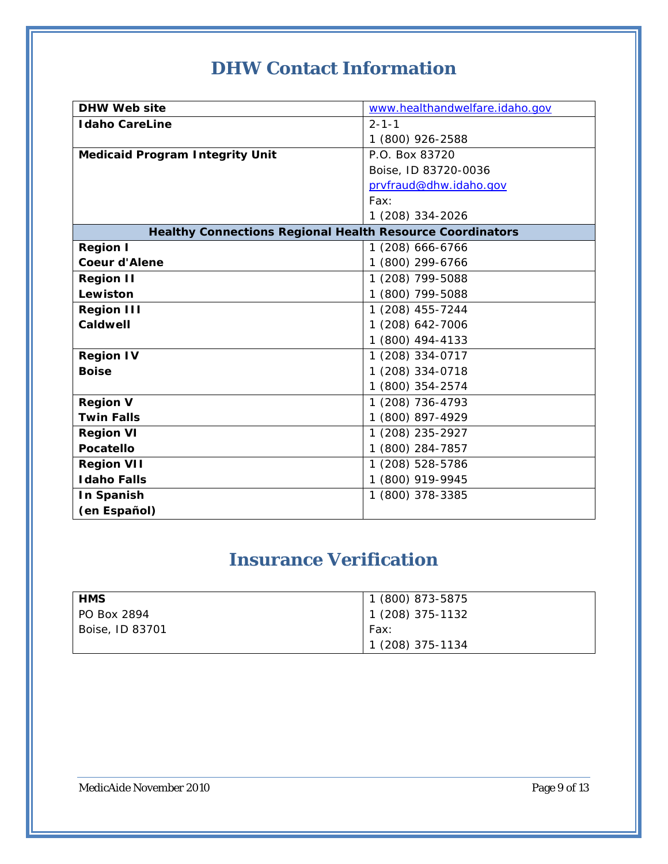# **DHW Contact Information**

<span id="page-8-0"></span>

| <b>DHW Web site</b>                                              | www.healthandwelfare.idaho.gov |
|------------------------------------------------------------------|--------------------------------|
| <b>Idaho CareLine</b>                                            | $2 - 1 - 1$                    |
|                                                                  | 1 (800) 926-2588               |
| <b>Medicaid Program Integrity Unit</b>                           | P.O. Box 83720                 |
|                                                                  | Boise, ID 83720-0036           |
|                                                                  | prvfraud@dhw.idaho.gov         |
|                                                                  | Fax:                           |
|                                                                  | 1 (208) 334-2026               |
| <b>Healthy Connections Regional Health Resource Coordinators</b> |                                |
| <b>Region I</b>                                                  | 1 (208) 666-6766               |
| <b>Coeur d'Alene</b>                                             | 1 (800) 299-6766               |
| <b>Region II</b>                                                 | 1 (208) 799-5088               |
| Lewiston                                                         | 1 (800) 799-5088               |
| <b>Region III</b>                                                | 1 (208) 455-7244               |
| <b>Caldwell</b>                                                  | 1 (208) 642-7006               |
|                                                                  | 1 (800) 494-4133               |
| <b>Region IV</b>                                                 | 1 (208) 334-0717               |
| <b>Boise</b>                                                     | 1 (208) 334-0718               |
|                                                                  | 1 (800) 354-2574               |
| <b>Region V</b>                                                  | 1 (208) 736-4793               |
| <b>Twin Falls</b>                                                | 1 (800) 897-4929               |
| <b>Region VI</b>                                                 | 1 (208) 235-2927               |
| <b>Pocatello</b>                                                 | 1 (800) 284-7857               |
| <b>Region VII</b>                                                | 1 (208) 528-5786               |
| <b>Idaho Falls</b>                                               | 1 (800) 919-9945               |
| In Spanish                                                       | 1 (800) 378-3385               |
| (en Español)                                                     |                                |

# **Insurance Verification**

<span id="page-8-1"></span>

| <b>HMS</b>      | 1 (800) 873-5875  |
|-----------------|-------------------|
| l PO Box 2894   | $1(208)$ 375-1132 |
| Boise, ID 83701 | Fax:              |
|                 | 1 (208) 375-1134  |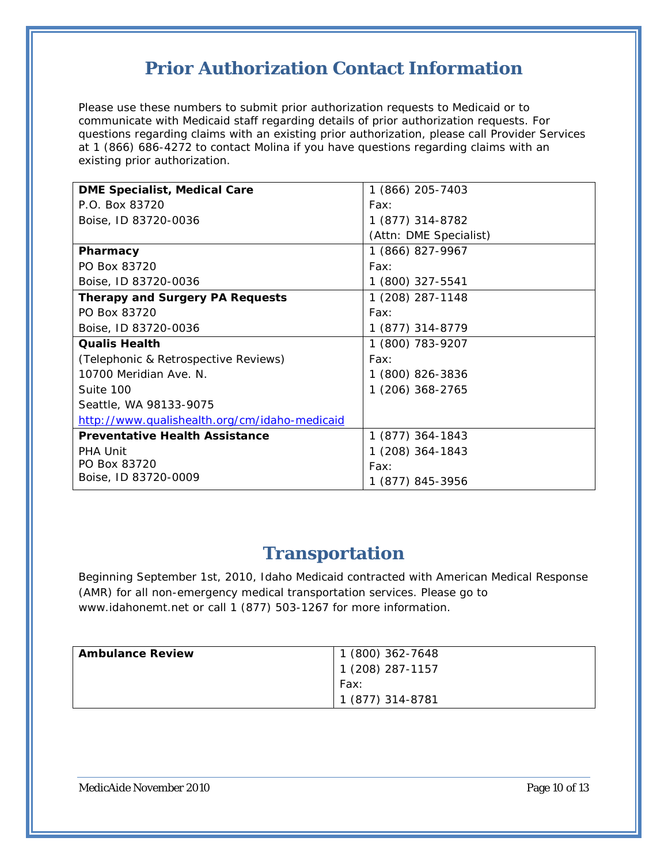### **Prior Authorization Contact Information**

<span id="page-9-0"></span>Please use these numbers to submit prior authorization requests to Medicaid or to communicate with Medicaid staff regarding details of prior authorization requests. For questions regarding claims with an existing prior authorization, please call Provider Services at 1 (866) 686-4272 to contact Molina if you have questions regarding claims with an existing prior authorization.

| <b>DME Specialist, Medical Care</b>           | 1 (866) 205-7403       |
|-----------------------------------------------|------------------------|
| P.O. Box 83720                                | Fax:                   |
| Boise, ID 83720-0036                          | 1 (877) 314-8782       |
|                                               | (Attn: DME Specialist) |
| Pharmacy                                      | 1 (866) 827-9967       |
| PO Box 83720                                  | Fax:                   |
| Boise, ID 83720-0036                          | 1 (800) 327-5541       |
| <b>Therapy and Surgery PA Requests</b>        | 1 (208) 287-1148       |
| PO Box 83720                                  | Fax:                   |
| Boise, ID 83720-0036                          | 1 (877) 314-8779       |
| <b>Qualis Health</b>                          | 1 (800) 783-9207       |
| (Telephonic & Retrospective Reviews)          | Fax:                   |
| 10700 Meridian Ave. N.                        | 1 (800) 826-3836       |
| Suite 100                                     | 1 (206) 368-2765       |
| Seattle, WA 98133-9075                        |                        |
| http://www.qualishealth.org/cm/idaho-medicaid |                        |
| <b>Preventative Health Assistance</b>         | 1 (877) 364-1843       |
| <b>PHA Unit</b>                               | 1 (208) 364-1843       |
| PO Box 83720                                  | Fax:                   |
| Boise, ID 83720-0009                          | 1 (877) 845-3956       |

### **Transportation**

<span id="page-9-1"></span>Beginning September 1st, 2010, Idaho Medicaid contracted with American Medical Response (AMR) for all non-emergency medical transportation services. Please go to www.idahonemt.net or call 1 (877) 503-1267 for more information.

| <b>Ambulance Review</b> | 1 (800) 362-7648 |
|-------------------------|------------------|
|                         | 1 (208) 287-1157 |
|                         | Fax:             |
|                         | 1 (877) 314-8781 |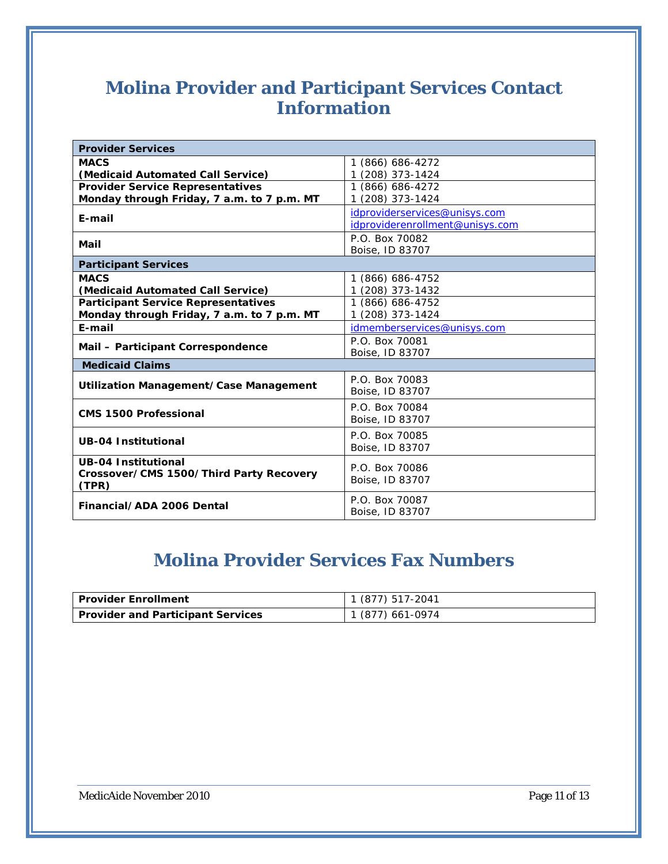### <span id="page-10-0"></span>**Molina Provider and Participant Services Contact Information**

| <b>Provider Services</b>                         |                                 |  |  |
|--------------------------------------------------|---------------------------------|--|--|
| <b>MACS</b>                                      | 1 (866) 686-4272                |  |  |
| (Medicaid Automated Call Service)                | 1 (208) 373-1424                |  |  |
| <b>Provider Service Representatives</b>          | 1 (866) 686-4272                |  |  |
| Monday through Friday, 7 a.m. to 7 p.m. MT       | 1 (208) 373-1424                |  |  |
|                                                  | idproviderservices@unisys.com   |  |  |
| E-mail                                           | idproviderenrollment@unisys.com |  |  |
|                                                  | P.O. Box 70082                  |  |  |
| Mail                                             | Boise, ID 83707                 |  |  |
| <b>Participant Services</b>                      |                                 |  |  |
| <b>MACS</b>                                      | 1 (866) 686-4752                |  |  |
| (Medicaid Automated Call Service)                | 1 (208) 373-1432                |  |  |
| <b>Participant Service Representatives</b>       | 1 (866) 686-4752                |  |  |
| Monday through Friday, 7 a.m. to 7 p.m. MT       | 1 (208) 373-1424                |  |  |
| E-mail                                           | idmemberservices@unisys.com     |  |  |
|                                                  | P.O. Box 70081                  |  |  |
| Mail - Participant Correspondence                | Boise, ID 83707                 |  |  |
| <b>Medicaid Claims</b>                           |                                 |  |  |
|                                                  | P.O. Box 70083                  |  |  |
| Utilization Management/Case Management           | Boise, ID 83707                 |  |  |
|                                                  | P.O. Box 70084                  |  |  |
| <b>CMS 1500 Professional</b>                     | Boise, ID 83707                 |  |  |
|                                                  | P.O. Box 70085                  |  |  |
| <b>UB-04 Institutional</b>                       | Boise, ID 83707                 |  |  |
| <b>UB-04 Institutional</b>                       |                                 |  |  |
|                                                  | P.O. Box 70086                  |  |  |
| Crossover/CMS 1500/Third Party Recovery<br>(TPR) | Boise, ID 83707                 |  |  |
|                                                  | P.O. Box 70087                  |  |  |
| Financial/ADA 2006 Dental                        | Boise, ID 83707                 |  |  |
|                                                  |                                 |  |  |

# **Molina Provider Services Fax Numbers**

<span id="page-10-1"></span>

| Provider Enrollment               | 1 (877) 517-2041 |
|-----------------------------------|------------------|
| Provider and Participant Services | 1 (877) 661-0974 |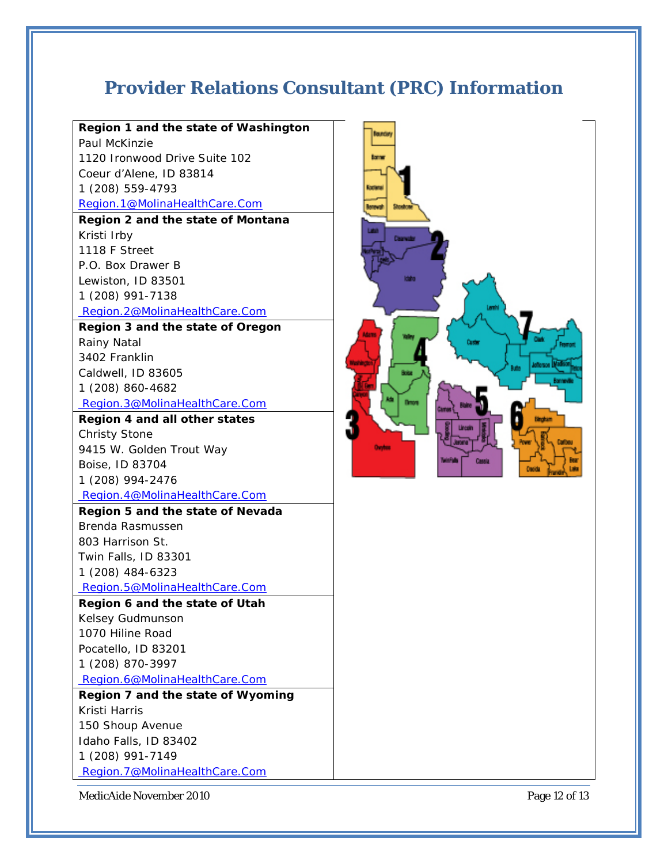# <span id="page-11-0"></span>**Provider Relations Consultant (PRC) Information**

| Region 1 and the state of Washington |  |
|--------------------------------------|--|
| Paul McKinzie                        |  |
| 1120 Ironwood Drive Suite 102        |  |
| Coeur d'Alene, ID 83814              |  |
| 1 (208) 559-4793                     |  |
| Region.1@MolinaHealthCare.Com        |  |
| Region 2 and the state of Montana    |  |
| Kristi Irby                          |  |
| 1118 F Street                        |  |
| P.O. Box Drawer B                    |  |
| Lewiston, ID 83501                   |  |
| 1 (208) 991-7138                     |  |
| Region.2@MolinaHealthCare.Com        |  |
| Region 3 and the state of Oregon     |  |
| Rainy Natal                          |  |
| 3402 Franklin                        |  |
| Caldwell, ID 83605                   |  |
| 1 (208) 860-4682                     |  |
| Region.3@MolinaHealthCare.Com        |  |
| Region 4 and all other states        |  |
| <b>Christy Stone</b>                 |  |
| 9415 W. Golden Trout Way             |  |
| Boise, ID 83704                      |  |
| 1 (208) 994-2476                     |  |
| Region.4@MolinaHealthCare.Com        |  |
| Region 5 and the state of Nevada     |  |
| Brenda Rasmussen                     |  |
| 803 Harrison St.                     |  |
| Twin Falls, ID 83301                 |  |
| 1 (208) 484-6323                     |  |
| Region.5@MolinaHealthCare.Com        |  |
| Region 6 and the state of Utah       |  |
| Kelsey Gudmunson                     |  |
| 1070 Hiline Road                     |  |
| Pocatello, ID 83201                  |  |
| 1 (208) 870-3997                     |  |
| Region.6@MolinaHealthCare.Com        |  |
| Region 7 and the state of Wyoming    |  |
| Kristi Harris                        |  |
| 150 Shoup Avenue                     |  |
| Idaho Falls, ID 83402                |  |
| 1 (208) 991-7149                     |  |
| Region.7@MolinaHealthCare.Com        |  |



MedicAide November 2010 Page 12 of 13